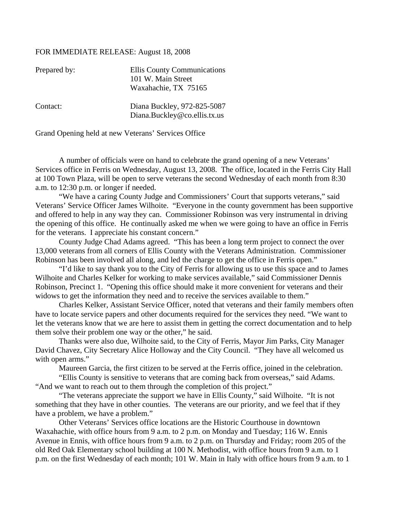## FOR IMMEDIATE RELEASE: August 18, 2008

| Prepared by: | Ellis County Communications<br>101 W. Main Street<br>Waxahachie, TX 75165 |
|--------------|---------------------------------------------------------------------------|
| Contact:     | Diana Buckley, 972-825-5087<br>Diana.Buckley@co.ellis.tx.us               |

Grand Opening held at new Veterans' Services Office

A number of officials were on hand to celebrate the grand opening of a new Veterans' Services office in Ferris on Wednesday, August 13, 2008. The office, located in the Ferris City Hall at 100 Town Plaza, will be open to serve veterans the second Wednesday of each month from 8:30 a.m. to 12:30 p.m. or longer if needed.

"We have a caring County Judge and Commissioners' Court that supports veterans," said Veterans' Service Officer James Wilhoite. "Everyone in the county government has been supportive and offered to help in any way they can. Commissioner Robinson was very instrumental in driving the opening of this office. He continually asked me when we were going to have an office in Ferris for the veterans. I appreciate his constant concern."

County Judge Chad Adams agreed. "This has been a long term project to connect the over 13,000 veterans from all corners of Ellis County with the Veterans Administration. Commissioner Robinson has been involved all along, and led the charge to get the office in Ferris open."

"I'd like to say thank you to the City of Ferris for allowing us to use this space and to James Wilhoite and Charles Kelker for working to make services available," said Commissioner Dennis Robinson, Precinct 1. "Opening this office should make it more convenient for veterans and their widows to get the information they need and to receive the services available to them."

Charles Kelker, Assistant Service Officer, noted that veterans and their family members often have to locate service papers and other documents required for the services they need. "We want to let the veterans know that we are here to assist them in getting the correct documentation and to help them solve their problem one way or the other," he said.

Thanks were also due, Wilhoite said, to the City of Ferris, Mayor Jim Parks, City Manager David Chavez, City Secretary Alice Holloway and the City Council. "They have all welcomed us with open arms."

Maureen Garcia, the first citizen to be served at the Ferris office, joined in the celebration.

"Ellis County is sensitive to veterans that are coming back from overseas," said Adams. "And we want to reach out to them through the completion of this project."

"The veterans appreciate the support we have in Ellis County," said Wilhoite. "It is not something that they have in other counties. The veterans are our priority, and we feel that if they have a problem, we have a problem."

Other Veterans' Services office locations are the Historic Courthouse in downtown Waxahachie, with office hours from 9 a.m. to 2 p.m. on Monday and Tuesday; 116 W. Ennis Avenue in Ennis, with office hours from 9 a.m. to 2 p.m. on Thursday and Friday; room 205 of the old Red Oak Elementary school building at 100 N. Methodist, with office hours from 9 a.m. to 1 p.m. on the first Wednesday of each month; 101 W. Main in Italy with office hours from 9 a.m. to 1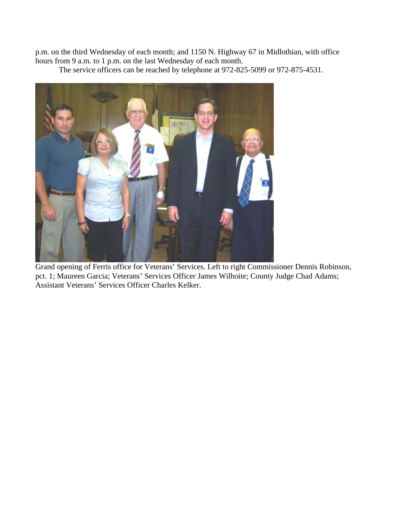p.m. on the third Wednesday of each month; and 1150 N. Highway 67 in Midlothian, with office hours from 9 a.m. to 1 p.m. on the last Wednesday of each month.

The service officers can be reached by telephone at 972-825-5099 or 972-875-4531.



Grand opening of Ferris office for Veterans' Services. Left to right Commissioner Dennis Robinson, pct. 1; Maureen Garcia; Veterans' Services Officer James Wilhoite; County Judge Chad Adams; Assistant Veterans' Services Officer Charles Kelker.